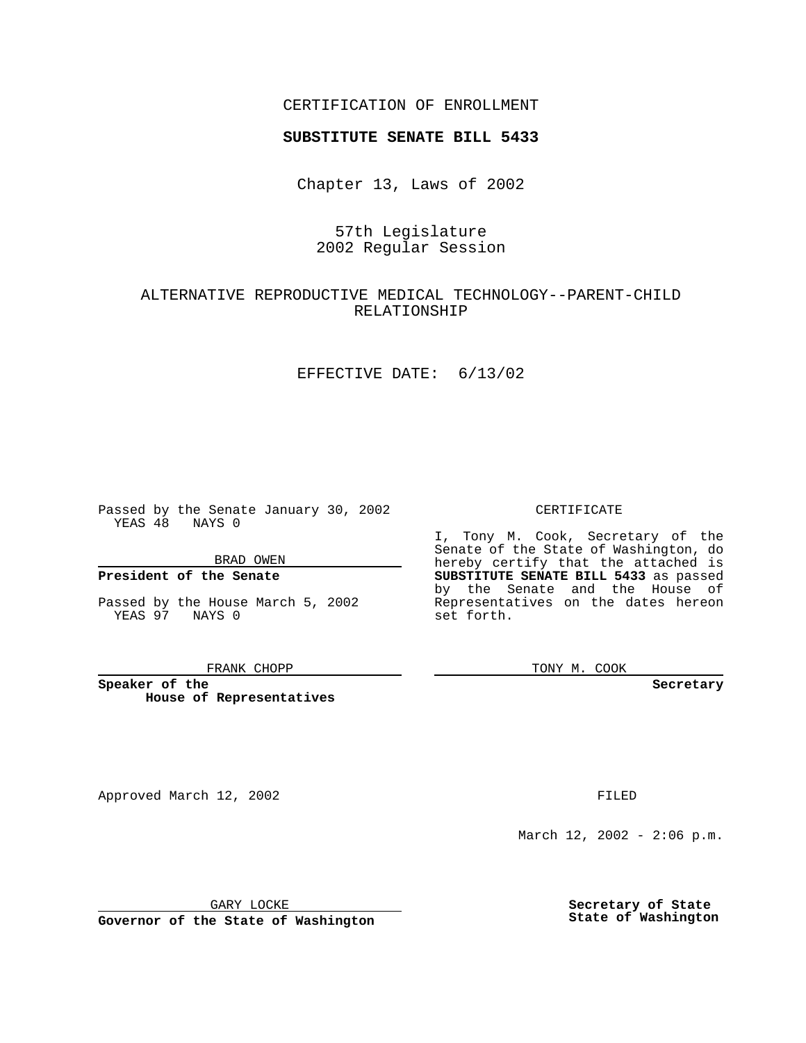## CERTIFICATION OF ENROLLMENT

# **SUBSTITUTE SENATE BILL 5433**

Chapter 13, Laws of 2002

## 57th Legislature 2002 Regular Session

## ALTERNATIVE REPRODUCTIVE MEDICAL TECHNOLOGY--PARENT-CHILD RELATIONSHIP

#### EFFECTIVE DATE: 6/13/02

Passed by the Senate January 30, 2002 YEAS 48 NAYS 0

BRAD OWEN

### **President of the Senate**

Passed by the House March 5, 2002 YEAS 97 NAYS 0

#### FRANK CHOPP

**Speaker of the House of Representatives**

Approved March 12, 2002 **FILED** 

#### CERTIFICATE

I, Tony M. Cook, Secretary of the Senate of the State of Washington, do hereby certify that the attached is **SUBSTITUTE SENATE BILL 5433** as passed by the Senate and the House of Representatives on the dates hereon set forth.

TONY M. COOK

**Secretary**

March 12, 2002 - 2:06 p.m.

GARY LOCKE

**Governor of the State of Washington**

**Secretary of State State of Washington**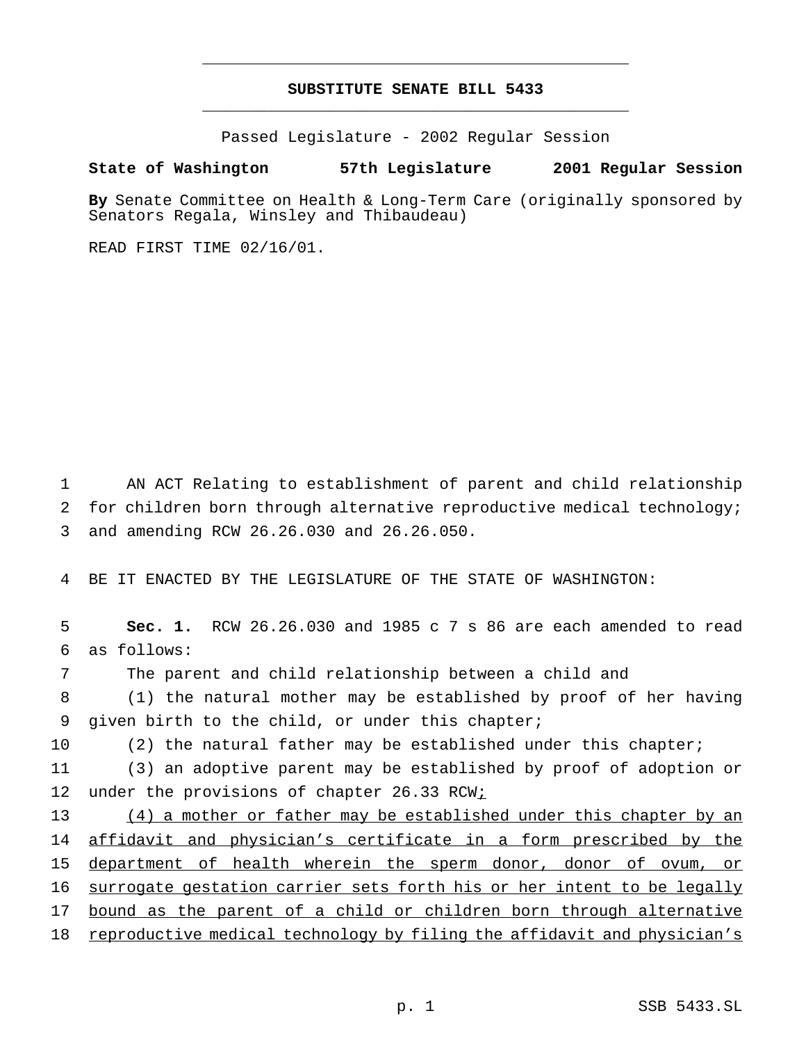# **SUBSTITUTE SENATE BILL 5433** \_\_\_\_\_\_\_\_\_\_\_\_\_\_\_\_\_\_\_\_\_\_\_\_\_\_\_\_\_\_\_\_\_\_\_\_\_\_\_\_\_\_\_\_\_

\_\_\_\_\_\_\_\_\_\_\_\_\_\_\_\_\_\_\_\_\_\_\_\_\_\_\_\_\_\_\_\_\_\_\_\_\_\_\_\_\_\_\_\_\_

Passed Legislature - 2002 Regular Session

#### **State of Washington 57th Legislature 2001 Regular Session**

**By** Senate Committee on Health & Long-Term Care (originally sponsored by Senators Regala, Winsley and Thibaudeau)

READ FIRST TIME 02/16/01.

1 AN ACT Relating to establishment of parent and child relationship 2 for children born through alternative reproductive medical technology; 3 and amending RCW 26.26.030 and 26.26.050.

4 BE IT ENACTED BY THE LEGISLATURE OF THE STATE OF WASHINGTON:

 **Sec. 1.** RCW 26.26.030 and 1985 c 7 s 86 are each amended to read as follows: The parent and child relationship between a child and (1) the natural mother may be established by proof of her having given birth to the child, or under this chapter; 10 (2) the natural father may be established under this chapter; (3) an adoptive parent may be established by proof of adoption or 12 under the provisions of chapter 26.33 RCW; (4) a mother or father may be established under this chapter by an 14 affidavit and physician's certificate in a form prescribed by the department of health wherein the sperm donor, donor of ovum, or surrogate gestation carrier sets forth his or her intent to be legally

17 bound as the parent of a child or children born through alternative 18 reproductive medical technology by filing the affidavit and physician's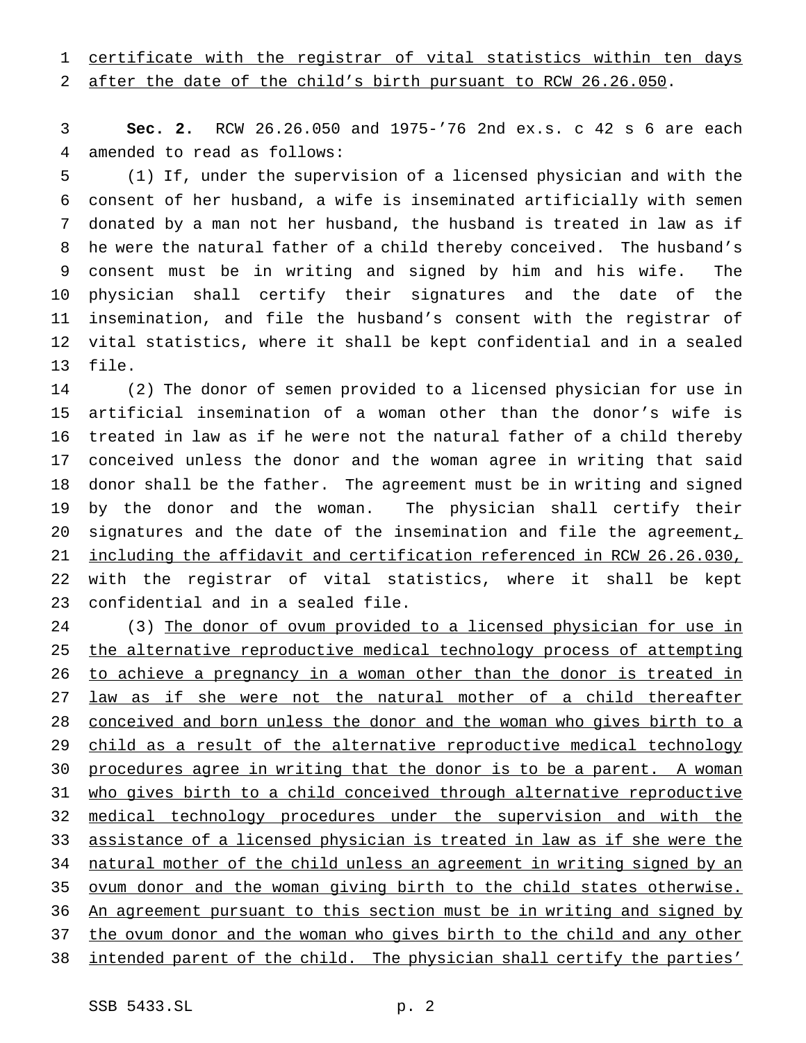1 certificate with the registrar of vital statistics within ten days

after the date of the child's birth pursuant to RCW 26.26.050.

 **Sec. 2.** RCW 26.26.050 and 1975-'76 2nd ex.s. c 42 s 6 are each amended to read as follows:

 (1) If, under the supervision of a licensed physician and with the consent of her husband, a wife is inseminated artificially with semen donated by a man not her husband, the husband is treated in law as if he were the natural father of a child thereby conceived. The husband's consent must be in writing and signed by him and his wife. The physician shall certify their signatures and the date of the insemination, and file the husband's consent with the registrar of vital statistics, where it shall be kept confidential and in a sealed file.

 (2) The donor of semen provided to a licensed physician for use in artificial insemination of a woman other than the donor's wife is treated in law as if he were not the natural father of a child thereby conceived unless the donor and the woman agree in writing that said donor shall be the father. The agreement must be in writing and signed by the donor and the woman. The physician shall certify their 20 signatures and the date of the insemination and file the agreement, including the affidavit and certification referenced in RCW 26.26.030, with the registrar of vital statistics, where it shall be kept confidential and in a sealed file.

24 (3) The donor of ovum provided to a licensed physician for use in 25 the alternative reproductive medical technology process of attempting to achieve a pregnancy in a woman other than the donor is treated in law as if she were not the natural mother of a child thereafter conceived and born unless the donor and the woman who gives birth to a 29 child as a result of the alternative reproductive medical technology procedures agree in writing that the donor is to be a parent. A woman who gives birth to a child conceived through alternative reproductive medical technology procedures under the supervision and with the assistance of a licensed physician is treated in law as if she were the natural mother of the child unless an agreement in writing signed by an 35 ovum donor and the woman giving birth to the child states otherwise. An agreement pursuant to this section must be in writing and signed by the ovum donor and the woman who gives birth to the child and any other intended parent of the child. The physician shall certify the parties'